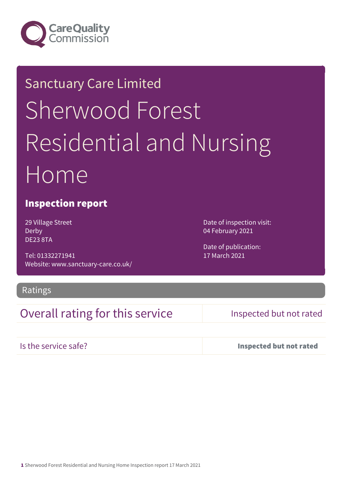

# Sanctuary Care Limited Sherwood Forest Residential and Nursing Home

#### Inspection report

29 Village Street Derby DE23 8TA

Tel: 01332271941 Website: www.sanctuary-care.co.uk/ Date of inspection visit: 04 February 2021

Date of publication: 17 March 2021

#### Ratings

### Overall rating for this service Inspected but not rated

Is the service safe? Inspected but not rated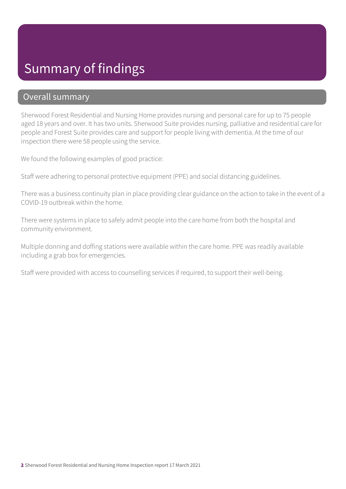## Summary of findings

#### Overall summary

Sherwood Forest Residential and Nursing Home provides nursing and personal care for up to 75 people aged 18 years and over. It has two units. Sherwood Suite provides nursing, palliative and residential care for people and Forest Suite provides care and support for people living with dementia. At the time of our inspection there were 58 people using the service.

We found the following examples of good practice:

Staff were adhering to personal protective equipment (PPE) and social distancing guidelines.

There was a business continuity plan in place providing clear guidance on the action to take in the event of a COVID-19 outbreak within the home.

There were systems in place to safely admit people into the care home from both the hospital and community environment.

Multiple donning and doffing stations were available within the care home. PPE was readily available including a grab box for emergencies.

Staff were provided with access to counselling services if required, to support their well-being.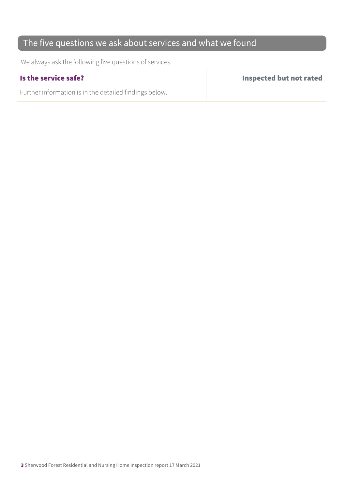#### The five questions we ask about services and what we found

We always ask the following five questions of services.

Further information is in the detailed findings below.

Is the service safe? Inspected but not rated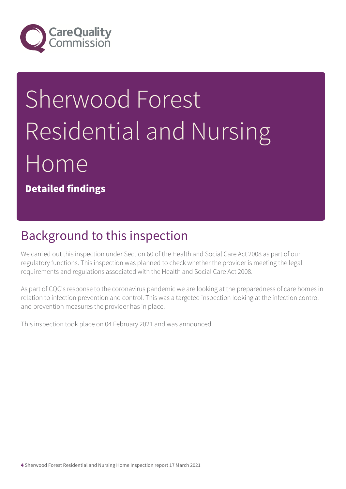

# Sherwood Forest Residential and Nursing Home

Detailed findings

# Background to this inspection

We carried out this inspection under Section 60 of the Health and Social Care Act 2008 as part of our regulatory functions. This inspection was planned to check whether the provider is meeting the legal requirements and regulations associated with the Health and Social Care Act 2008.

As part of CQC's response to the coronavirus pandemic we are looking at the preparedness of care homes in relation to infection prevention and control. This was a targeted inspection looking at the infection control and prevention measures the provider has in place.

This inspection took place on 04 February 2021 and was announced.